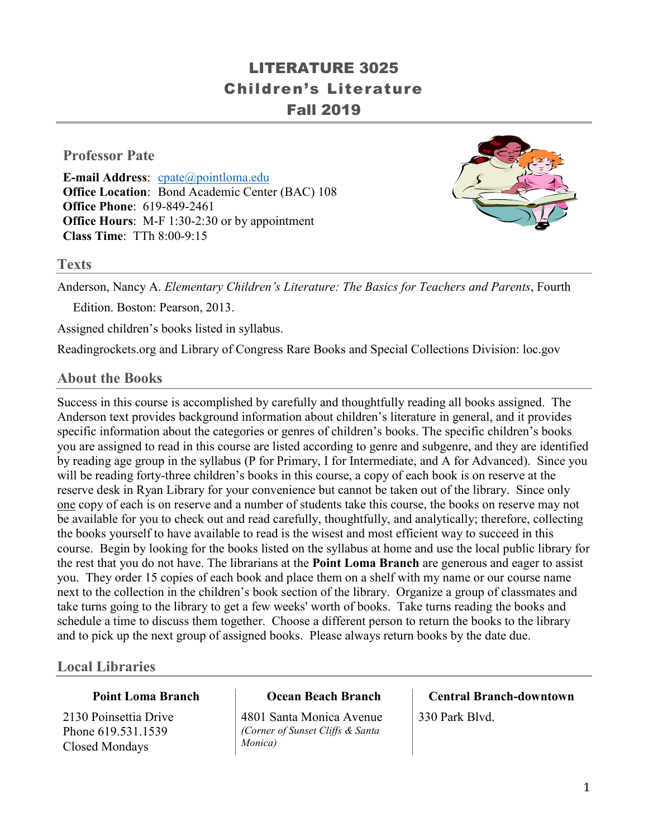# LITERATURE 3025 Children's Literature Fall 2019

## **Professor Pate**

**E-mail Address**: [cpate@pointloma.edu](mailto:cpate@pointloma.edu) **Office Location**: Bond Academic Center (BAC) 108 **Office Phone**: 619-849-2461 **Office Hours**: M-F 1:30-2:30 or by appointment **Class Time**: TTh 8:00-9:15



#### **Texts**

Anderson, Nancy A. *Elementary Children's Literature: The Basics for Teachers and Parents*, Fourth

Edition. Boston: Pearson, 2013.

Assigned children's books listed in syllabus.

Readingrockets.org and Library of Congress Rare Books and Special Collections Division: loc.gov

#### **About the Books**

Success in this course is accomplished by carefully and thoughtfully reading all books assigned. The Anderson text provides background information about children's literature in general, and it provides specific information about the categories or genres of children's books. The specific children's books you are assigned to read in this course are listed according to genre and subgenre, and they are identified by reading age group in the syllabus (P for Primary, I for Intermediate, and A for Advanced). Since you will be reading forty-three children's books in this course, a copy of each book is on reserve at the reserve desk in Ryan Library for your convenience but cannot be taken out of the library. Since only one copy of each is on reserve and a number of students take this course, the books on reserve may not be available for you to check out and read carefully, thoughtfully, and analytically; therefore, collecting the books yourself to have available to read is the wisest and most efficient way to succeed in this course. Begin by looking for the books listed on the syllabus at home and use the local public library for the rest that you do not have. The librarians at the **Point Loma Branch** are generous and eager to assist you. They order 15 copies of each book and place them on a shelf with my name or our course name next to the collection in the children's book section of the library. Organize a group of classmates and take turns going to the library to get a few weeks' worth of books. Take turns reading the books and schedule a time to discuss them together. Choose a different person to return the books to the library and to pick up the next group of assigned books. Please always return books by the date due.

## **Local Libraries**

#### **Point Loma Branch**

2130 Poinsettia Drive Phone 619.531.1539 Closed Mondays

#### **Ocean Beach Branch**

4801 Santa Monica Avenue *(Corner of Sunset Cliffs & Santa Monica)*

# **Central Branch-downtown**

330 Park Blvd.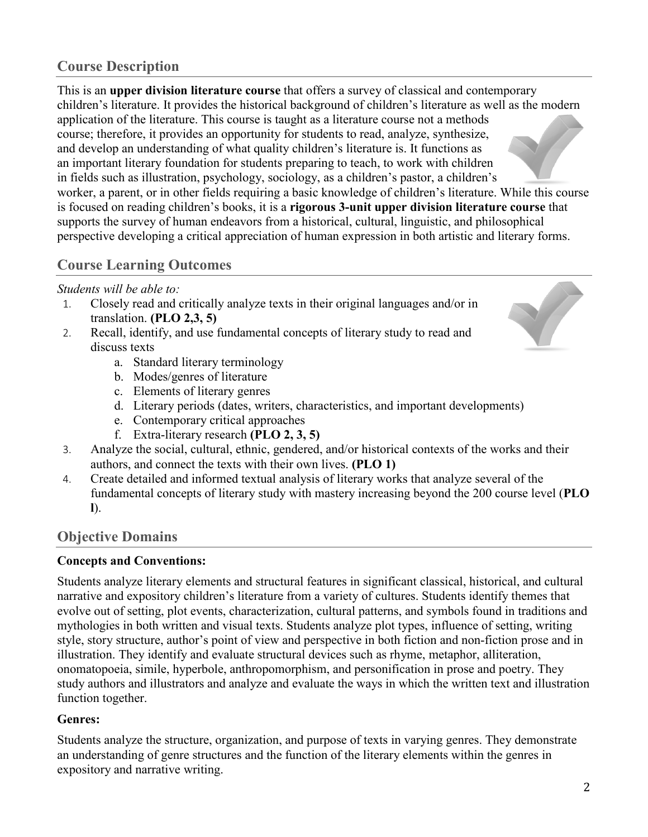## **Course Description**

This is an **upper division literature course** that offers a survey of classical and contemporary children's literature. It provides the historical background of children's literature as well as the modern application of the literature. This course is taught as a literature course not a methods course; therefore, it provides an opportunity for students to read, analyze, synthesize, and develop an understanding of what quality children's literature is. It functions as an important literary foundation for students preparing to teach, to work with children in fields such as illustration, psychology, sociology, as a children's pastor, a children's worker, a parent, or in other fields requiring a basic knowledge of children's literature. While this course is focused on reading children's books, it is a **rigorous 3-unit upper division literature course** that supports the survey of human endeavors from a historical, cultural, linguistic, and philosophical perspective developing a critical appreciation of human expression in both artistic and literary forms.

## **Course Learning Outcomes**

#### *Students will be able to:*

- 1. Closely read and critically analyze texts in their original languages and/or in translation. **(PLO 2,3, 5)**
- 2. Recall, identify, and use fundamental concepts of literary study to read and discuss texts
	- a. Standard literary terminology
	- b. Modes/genres of literature
	- c. Elements of literary genres
	- d. Literary periods (dates, writers, characteristics, and important developments)
	- e. Contemporary critical approaches
	- f. Extra-literary research **(PLO 2, 3, 5)**
- 3. Analyze the social, cultural, ethnic, gendered, and/or historical contexts of the works and their authors, and connect the texts with their own lives. **(PLO 1)**
- 4. Create detailed and informed textual analysis of literary works that analyze several of the fundamental concepts of literary study with mastery increasing beyond the 200 course level (**PLO l**).

## **Objective Domains**

#### **Concepts and Conventions:**

Students analyze literary elements and structural features in significant classical, historical, and cultural narrative and expository children's literature from a variety of cultures. Students identify themes that evolve out of setting, plot events, characterization, cultural patterns, and symbols found in traditions and mythologies in both written and visual texts. Students analyze plot types, influence of setting, writing style, story structure, author's point of view and perspective in both fiction and non-fiction prose and in illustration. They identify and evaluate structural devices such as rhyme, metaphor, alliteration, onomatopoeia, simile, hyperbole, anthropomorphism, and personification in prose and poetry. They study authors and illustrators and analyze and evaluate the ways in which the written text and illustration function together.

#### **Genres:**

Students analyze the structure, organization, and purpose of texts in varying genres. They demonstrate an understanding of genre structures and the function of the literary elements within the genres in expository and narrative writing.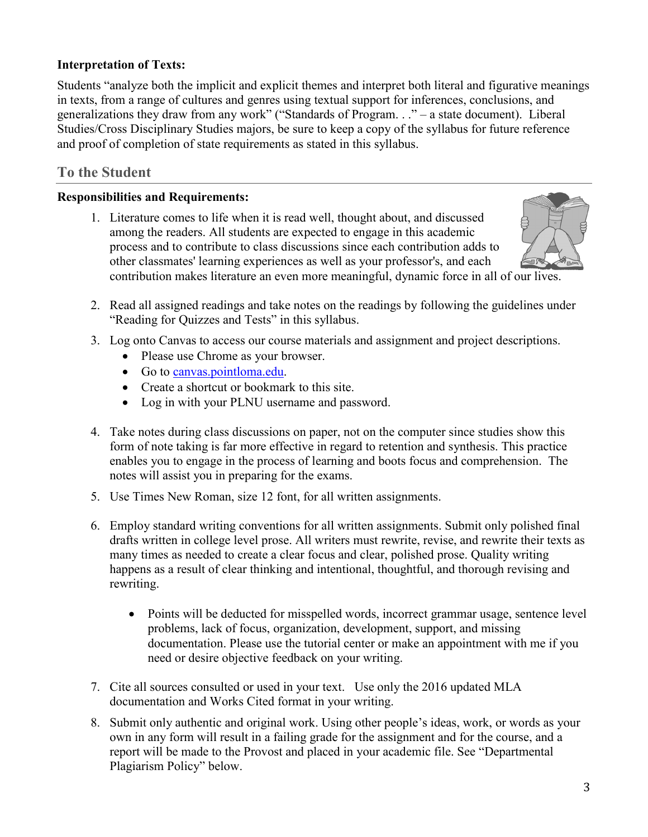## **Interpretation of Texts:**

Students "analyze both the implicit and explicit themes and interpret both literal and figurative meanings in texts, from a range of cultures and genres using textual support for inferences, conclusions, and generalizations they draw from any work" ("Standards of Program. . ." – a state document). Liberal Studies/Cross Disciplinary Studies majors, be sure to keep a copy of the syllabus for future reference and proof of completion of state requirements as stated in this syllabus.

## **To the Student**

#### **Responsibilities and Requirements:**

1. Literature comes to life when it is read well, thought about, and discussed among the readers. All students are expected to engage in this academic process and to contribute to class discussions since each contribution adds to other classmates' learning experiences as well as your professor's, and each contribution makes literature an even more meaningful, dynamic force in all of our lives.



- 2. Read all assigned readings and take notes on the readings by following the guidelines under "Reading for Quizzes and Tests" in this syllabus.
- 3. Log onto Canvas to access our course materials and assignment and project descriptions.
	- Please use Chrome as your browser.
	- Go to [canvas.pointloma.edu.](http://canvas.pointloma.edu/)
	- Create a shortcut or bookmark to this site.
	- Log in with your PLNU username and password.
- 4. Take notes during class discussions on paper, not on the computer since studies show this form of note taking is far more effective in regard to retention and synthesis. This practice enables you to engage in the process of learning and boots focus and comprehension. The notes will assist you in preparing for the exams.
- 5. Use Times New Roman, size 12 font, for all written assignments.
- 6. Employ standard writing conventions for all written assignments. Submit only polished final drafts written in college level prose. All writers must rewrite, revise, and rewrite their texts as many times as needed to create a clear focus and clear, polished prose. Quality writing happens as a result of clear thinking and intentional, thoughtful, and thorough revising and rewriting.
	- Points will be deducted for misspelled words, incorrect grammar usage, sentence level problems, lack of focus, organization, development, support, and missing documentation. Please use the tutorial center or make an appointment with me if you need or desire objective feedback on your writing.
- 7. Cite all sources consulted or used in your text. Use only the 2016 updated MLA documentation and Works Cited format in your writing.
- 8. Submit only authentic and original work. Using other people's ideas, work, or words as your own in any form will result in a failing grade for the assignment and for the course, and a report will be made to the Provost and placed in your academic file. See "Departmental Plagiarism Policy" below.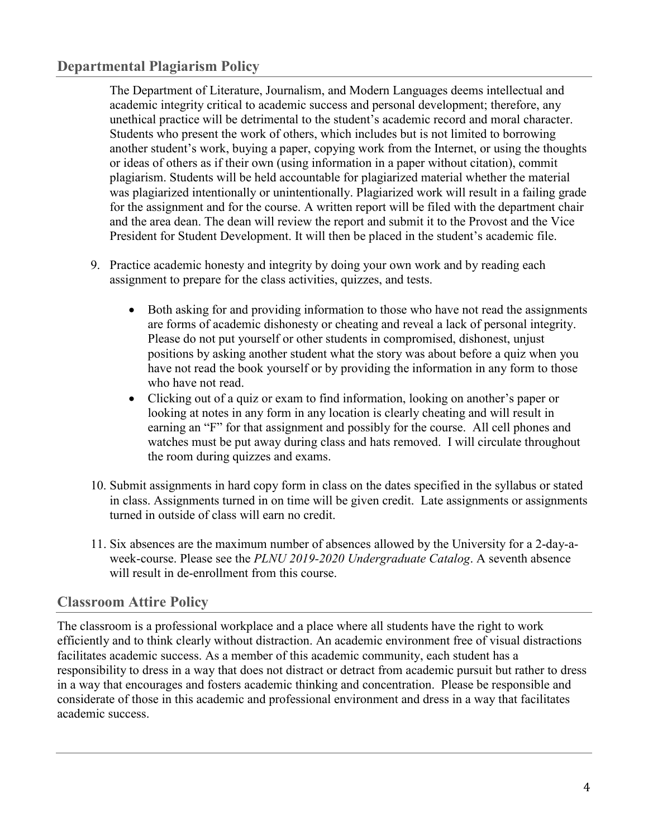## **Departmental Plagiarism Policy**

The Department of Literature, Journalism, and Modern Languages deems intellectual and academic integrity critical to academic success and personal development; therefore, any unethical practice will be detrimental to the student's academic record and moral character. Students who present the work of others, which includes but is not limited to borrowing another student's work, buying a paper, copying work from the Internet, or using the thoughts or ideas of others as if their own (using information in a paper without citation), commit plagiarism. Students will be held accountable for plagiarized material whether the material was plagiarized intentionally or unintentionally. Plagiarized work will result in a failing grade for the assignment and for the course. A written report will be filed with the department chair and the area dean. The dean will review the report and submit it to the Provost and the Vice President for Student Development. It will then be placed in the student's academic file.

- 9. Practice academic honesty and integrity by doing your own work and by reading each assignment to prepare for the class activities, quizzes, and tests.
	- Both asking for and providing information to those who have not read the assignments are forms of academic dishonesty or cheating and reveal a lack of personal integrity. Please do not put yourself or other students in compromised, dishonest, unjust positions by asking another student what the story was about before a quiz when you have not read the book yourself or by providing the information in any form to those who have not read.
	- Clicking out of a quiz or exam to find information, looking on another's paper or looking at notes in any form in any location is clearly cheating and will result in earning an "F" for that assignment and possibly for the course. All cell phones and watches must be put away during class and hats removed. I will circulate throughout the room during quizzes and exams.
- 10. Submit assignments in hard copy form in class on the dates specified in the syllabus or stated in class. Assignments turned in on time will be given credit. Late assignments or assignments turned in outside of class will earn no credit.
- 11. Six absences are the maximum number of absences allowed by the University for a 2-day-aweek-course. Please see the *PLNU 2019-2020 Undergraduate Catalog*. A seventh absence will result in de-enrollment from this course.

## **Classroom Attire Policy**

The classroom is a professional workplace and a place where all students have the right to work efficiently and to think clearly without distraction. An academic environment free of visual distractions facilitates academic success. As a member of this academic community, each student has a responsibility to dress in a way that does not distract or detract from academic pursuit but rather to dress in a way that encourages and fosters academic thinking and concentration. Please be responsible and considerate of those in this academic and professional environment and dress in a way that facilitates academic success.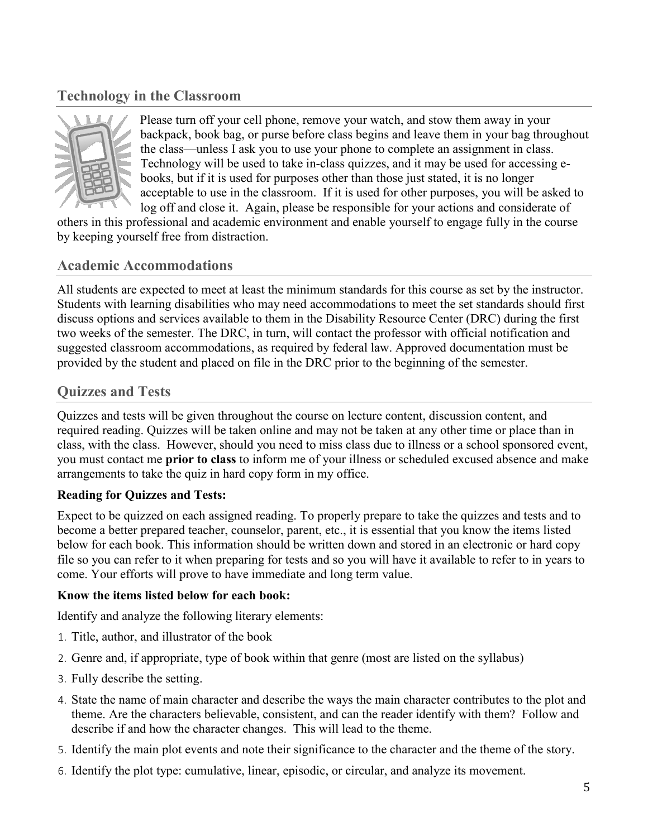## **Technology in the Classroom**



Please turn off your cell phone, remove your watch, and stow them away in your backpack, book bag, or purse before class begins and leave them in your bag throughout the class—unless I ask you to use your phone to complete an assignment in class. Technology will be used to take in-class quizzes, and it may be used for accessing ebooks, but if it is used for purposes other than those just stated, it is no longer acceptable to use in the classroom. If it is used for other purposes, you will be asked to log off and close it. Again, please be responsible for your actions and considerate of

others in this professional and academic environment and enable yourself to engage fully in the course by keeping yourself free from distraction.

## **Academic Accommodations**

All students are expected to meet at least the minimum standards for this course as set by the instructor. Students with learning disabilities who may need accommodations to meet the set standards should first discuss options and services available to them in the Disability Resource Center (DRC) during the first two weeks of the semester. The DRC, in turn, will contact the professor with official notification and suggested classroom accommodations, as required by federal law. Approved documentation must be provided by the student and placed on file in the DRC prior to the beginning of the semester.

## **Quizzes and Tests**

Quizzes and tests will be given throughout the course on lecture content, discussion content, and required reading. Quizzes will be taken online and may not be taken at any other time or place than in class, with the class. However, should you need to miss class due to illness or a school sponsored event, you must contact me **prior to class** to inform me of your illness or scheduled excused absence and make arrangements to take the quiz in hard copy form in my office.

#### **Reading for Quizzes and Tests:**

Expect to be quizzed on each assigned reading. To properly prepare to take the quizzes and tests and to become a better prepared teacher, counselor, parent, etc., it is essential that you know the items listed below for each book. This information should be written down and stored in an electronic or hard copy file so you can refer to it when preparing for tests and so you will have it available to refer to in years to come. Your efforts will prove to have immediate and long term value.

#### **Know the items listed below for each book:**

Identify and analyze the following literary elements:

- 1. Title, author, and illustrator of the book
- 2. Genre and, if appropriate, type of book within that genre (most are listed on the syllabus)
- 3. Fully describe the setting.
- 4. State the name of main character and describe the ways the main character contributes to the plot and theme. Are the characters believable, consistent, and can the reader identify with them? Follow and describe if and how the character changes. This will lead to the theme.
- 5. Identify the main plot events and note their significance to the character and the theme of the story.
- 6. Identify the plot type: cumulative, linear, episodic, or circular, and analyze its movement.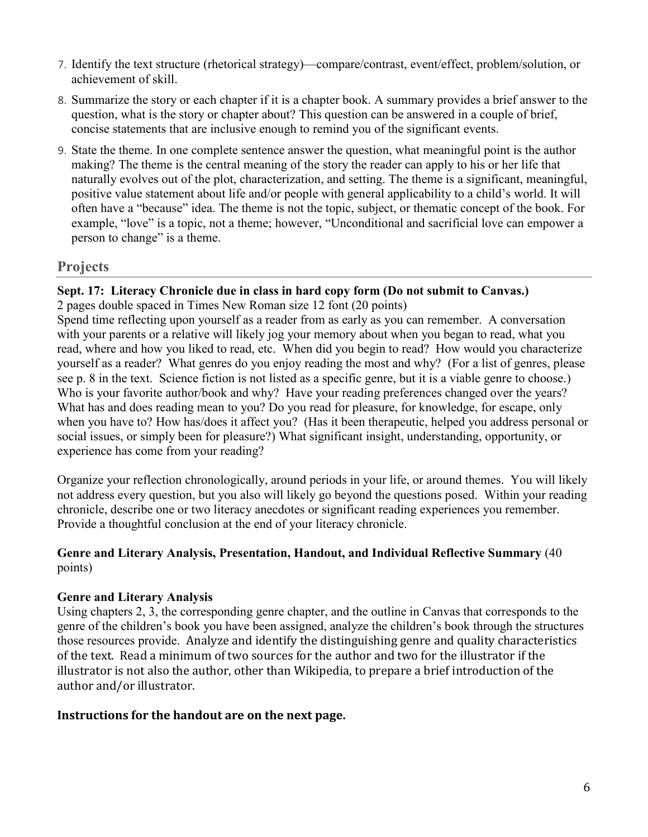- 7. Identify the text structure (rhetorical strategy)—compare/contrast, event/effect, problem/solution, or achievement of skill.
- 8. Summarize the story or each chapter if it is a chapter book. A summary provides a brief answer to the question, what is the story or chapter about? This question can be answered in a couple of brief, concise statements that are inclusive enough to remind you of the significant events.
- 9. State the theme. In one complete sentence answer the question, what meaningful point is the author making? The theme is the central meaning of the story the reader can apply to his or her life that naturally evolves out of the plot, characterization, and setting. The theme is a significant, meaningful, positive value statement about life and/or people with general applicability to a child's world. It will often have a "because" idea. The theme is not the topic, subject, or thematic concept of the book. For example, "love" is a topic, not a theme; however, "Unconditional and sacrificial love can empower a person to change" is a theme.

## **Projects**

#### **Sept. 17: Literacy Chronicle due in class in hard copy form (Do not submit to Canvas.)**

2 pages double spaced in Times New Roman size 12 font (20 points)

Spend time reflecting upon yourself as a reader from as early as you can remember. A conversation with your parents or a relative will likely jog your memory about when you began to read, what you read, where and how you liked to read, etc. When did you begin to read? How would you characterize yourself as a reader? What genres do you enjoy reading the most and why? (For a list of genres, please see p. 8 in the text. Science fiction is not listed as a specific genre, but it is a viable genre to choose.) Who is your favorite author/book and why? Have your reading preferences changed over the years? What has and does reading mean to you? Do you read for pleasure, for knowledge, for escape, only when you have to? How has/does it affect you? (Has it been therapeutic, helped you address personal or social issues, or simply been for pleasure?) What significant insight, understanding, opportunity, or experience has come from your reading?

Organize your reflection chronologically, around periods in your life, or around themes. You will likely not address every question, but you also will likely go beyond the questions posed. Within your reading chronicle, describe one or two literacy anecdotes or significant reading experiences you remember. Provide a thoughtful conclusion at the end of your literacy chronicle.

#### **Genre and Literary Analysis, Presentation, Handout, and Individual Reflective Summary** (40 points)

#### **Genre and Literary Analysis**

Using chapters 2, 3, the corresponding genre chapter, and the outline in Canvas that corresponds to the genre of the children's book you have been assigned, analyze the children's book through the structures those resources provide. Analyze and identify the distinguishing genre and quality characteristics of the text. Read a minimum of two sources for the author and two for the illustrator if the illustrator is not also the author, other than Wikipedia, to prepare a brief introduction of the author and/or illustrator.

#### **Instructions for the handout are on the next page.**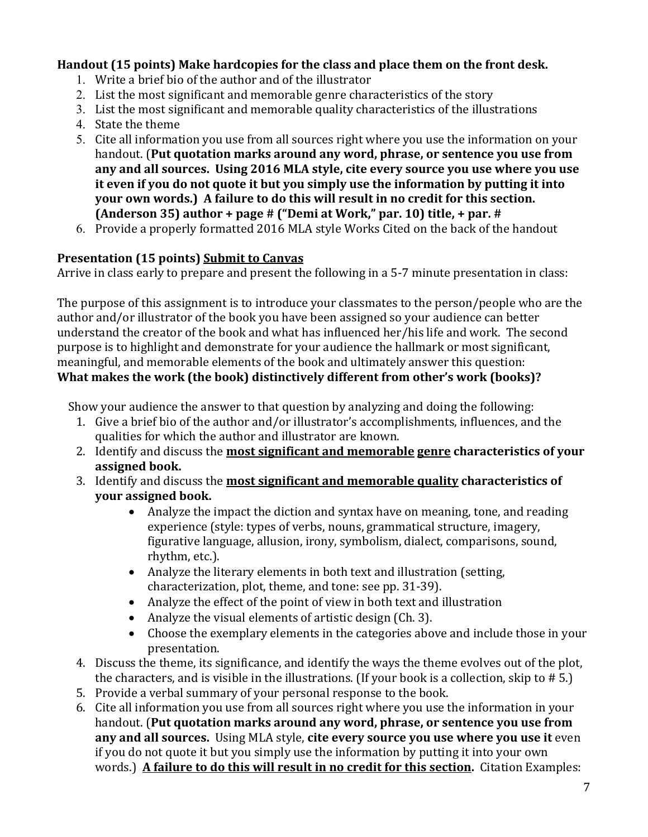## **Handout (15 points) Make hardcopies for the class and place them on the front desk.**

- 1. Write a brief bio of the author and of the illustrator
- 2. List the most significant and memorable genre characteristics of the story
- 3. List the most significant and memorable quality characteristics of the illustrations
- 4. State the theme
- 5. Cite all information you use from all sources right where you use the information on your handout. (**Put quotation marks around any word, phrase, or sentence you use from any and all sources. Using 2016 MLA style, cite every source you use where you use it even if you do not quote it but you simply use the information by putting it into your own words.) A failure to do this will result in no credit for this section. (Anderson 35) author + page # ("Demi at Work," par. 10) title, + par. #**
- 6. Provide a properly formatted 2016 MLA style Works Cited on the back of the handout

## **Presentation (15 points) Submit to Canvas**

Arrive in class early to prepare and present the following in a 5-7 minute presentation in class:

The purpose of this assignment is to introduce your classmates to the person/people who are the author and/or illustrator of the book you have been assigned so your audience can better understand the creator of the book and what has influenced her/his life and work. The second purpose is to highlight and demonstrate for your audience the hallmark or most significant, meaningful, and memorable elements of the book and ultimately answer this question: **What makes the work (the book) distinctively different from other's work (books)?**

Show your audience the answer to that question by analyzing and doing the following:

- 1. Give a brief bio of the author and/or illustrator's accomplishments, influences, and the qualities for which the author and illustrator are known.
- 2. Identify and discuss the **most significant and memorable genre characteristics of your assigned book.**
- 3. Identify and discuss the **most significant and memorable quality characteristics of your assigned book.**
	- Analyze the impact the diction and syntax have on meaning, tone, and reading experience (style: types of verbs, nouns, grammatical structure, imagery, figurative language, allusion, irony, symbolism, dialect, comparisons, sound, rhythm, etc.).
	- Analyze the literary elements in both text and illustration (setting, characterization, plot, theme, and tone: see pp. 31-39).
	- Analyze the effect of the point of view in both text and illustration
	- Analyze the visual elements of artistic design (Ch. 3).
	- Choose the exemplary elements in the categories above and include those in your presentation.
- 4. Discuss the theme, its significance, and identify the ways the theme evolves out of the plot, the characters, and is visible in the illustrations. (If your book is a collection, skip to # 5.)
- 5. Provide a verbal summary of your personal response to the book.
- 6. Cite all information you use from all sources right where you use the information in your handout. (**Put quotation marks around any word, phrase, or sentence you use from any and all sources.** Using MLA style, **cite every source you use where you use it** even if you do not quote it but you simply use the information by putting it into your own words.) **A failure to do this will result in no credit for this section.** Citation Examples: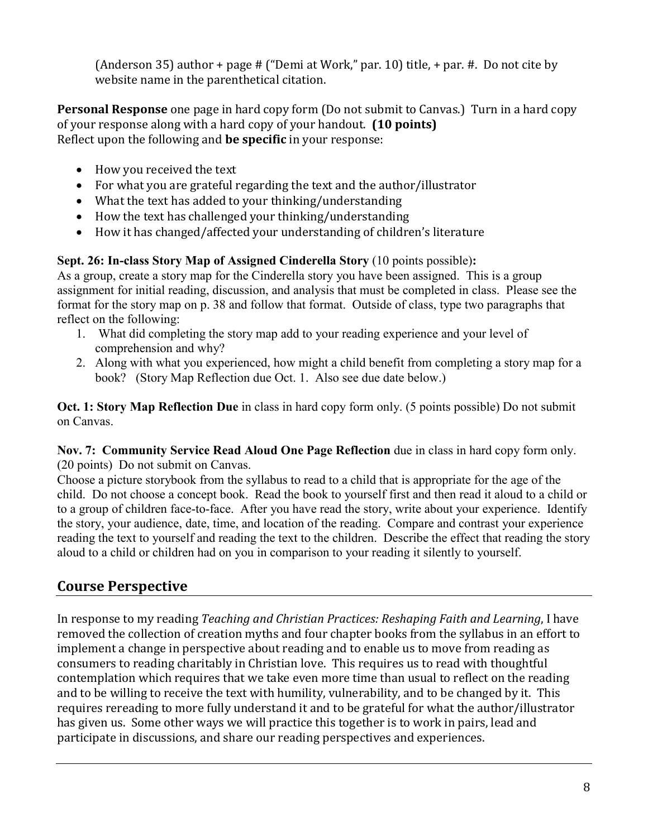(Anderson 35) author + page  $#$  ("Demi at Work," par. 10) title, + par.  $#$ . Do not cite by website name in the parenthetical citation.

**Personal Response** one page in hard copy form (Do not submit to Canvas.) Turn in a hard copy of your response along with a hard copy of your handout. **(10 points)** Reflect upon the following and **be specific** in your response:

- How you received the text
- For what you are grateful regarding the text and the author/illustrator
- What the text has added to your thinking/understanding
- How the text has challenged your thinking/understanding
- How it has changed/affected your understanding of children's literature

## **Sept. 26: In-class Story Map of Assigned Cinderella Story** (10 points possible)**:**

As a group, create a story map for the Cinderella story you have been assigned. This is a group assignment for initial reading, discussion, and analysis that must be completed in class. Please see the format for the story map on p. 38 and follow that format. Outside of class, type two paragraphs that reflect on the following:

- 1. What did completing the story map add to your reading experience and your level of comprehension and why?
- 2. Along with what you experienced, how might a child benefit from completing a story map for a book? (Story Map Reflection due Oct. 1. Also see due date below.)

**Oct. 1: Story Map Reflection Due** in class in hard copy form only. (5 points possible) Do not submit on Canvas.

**Nov. 7: Community Service Read Aloud One Page Reflection** due in class in hard copy form only. (20 points) Do not submit on Canvas.

Choose a picture storybook from the syllabus to read to a child that is appropriate for the age of the child. Do not choose a concept book. Read the book to yourself first and then read it aloud to a child or to a group of children face-to-face. After you have read the story, write about your experience. Identify the story, your audience, date, time, and location of the reading. Compare and contrast your experience reading the text to yourself and reading the text to the children. Describe the effect that reading the story aloud to a child or children had on you in comparison to your reading it silently to yourself.

## **Course Perspective**

In response to my reading *Teaching and Christian Practices: Reshaping Faith and Learning*, I have removed the collection of creation myths and four chapter books from the syllabus in an effort to implement a change in perspective about reading and to enable us to move from reading as consumers to reading charitably in Christian love. This requires us to read with thoughtful contemplation which requires that we take even more time than usual to reflect on the reading and to be willing to receive the text with humility, vulnerability, and to be changed by it. This requires rereading to more fully understand it and to be grateful for what the author/illustrator has given us. Some other ways we will practice this together is to work in pairs, lead and participate in discussions, and share our reading perspectives and experiences.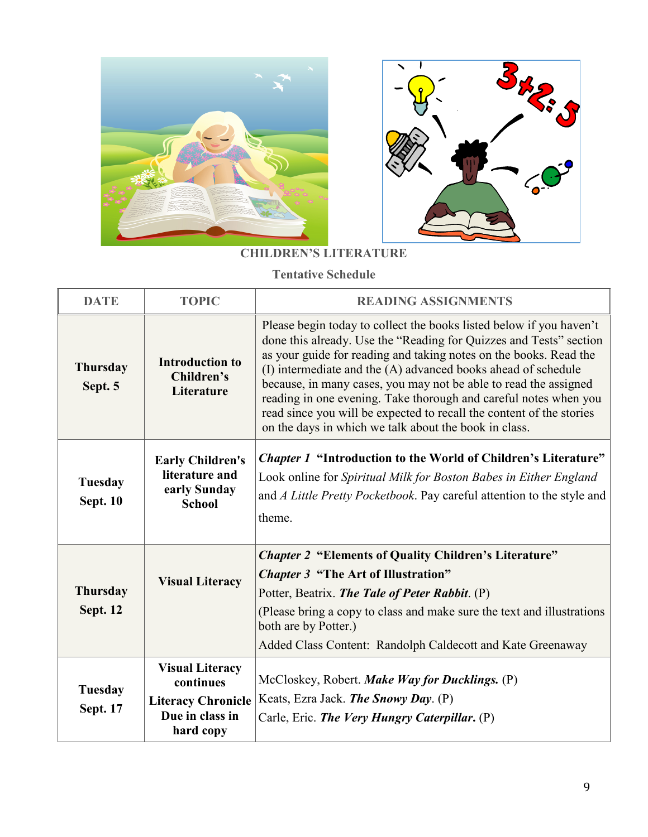



## **CHILDREN'S LITERATURE**

**Tentative Schedule**

| <b>DATE</b>                        | <b>TOPIC</b>                                                                                     | <b>READING ASSIGNMENTS</b>                                                                                                                                                                                                                                                                                                                                                                                                                                                                                                                               |  |
|------------------------------------|--------------------------------------------------------------------------------------------------|----------------------------------------------------------------------------------------------------------------------------------------------------------------------------------------------------------------------------------------------------------------------------------------------------------------------------------------------------------------------------------------------------------------------------------------------------------------------------------------------------------------------------------------------------------|--|
| <b>Thursday</b><br>Sept. 5         | <b>Introduction to</b><br>Children's<br>Literature                                               | Please begin today to collect the books listed below if you haven't<br>done this already. Use the "Reading for Quizzes and Tests" section<br>as your guide for reading and taking notes on the books. Read the<br>(I) intermediate and the (A) advanced books ahead of schedule<br>because, in many cases, you may not be able to read the assigned<br>reading in one evening. Take thorough and careful notes when you<br>read since you will be expected to recall the content of the stories<br>on the days in which we talk about the book in class. |  |
| Tuesday<br><b>Sept. 10</b>         | <b>Early Children's</b><br>literature and<br>early Sunday<br><b>School</b>                       | <i>Chapter 1</i> "Introduction to the World of Children's Literature"<br>Look online for Spiritual Milk for Boston Babes in Either England<br>and A Little Pretty Pocketbook. Pay careful attention to the style and<br>theme.                                                                                                                                                                                                                                                                                                                           |  |
| <b>Thursday</b><br><b>Sept. 12</b> | <b>Visual Literacy</b>                                                                           | <b>Chapter 2 "Elements of Quality Children's Literature"</b><br><b>Chapter 3 "The Art of Illustration"</b><br>Potter, Beatrix. The Tale of Peter Rabbit. (P)<br>(Please bring a copy to class and make sure the text and illustrations<br>both are by Potter.)<br>Added Class Content: Randolph Caldecott and Kate Greenaway                                                                                                                                                                                                                             |  |
| Tuesday<br><b>Sept. 17</b>         | <b>Visual Literacy</b><br>continues<br><b>Literacy Chronicle</b><br>Due in class in<br>hard copy | McCloskey, Robert. Make Way for Ducklings. (P)<br>Keats, Ezra Jack. The Snowy Day. (P)<br>Carle, Eric. The Very Hungry Caterpillar. (P)                                                                                                                                                                                                                                                                                                                                                                                                                  |  |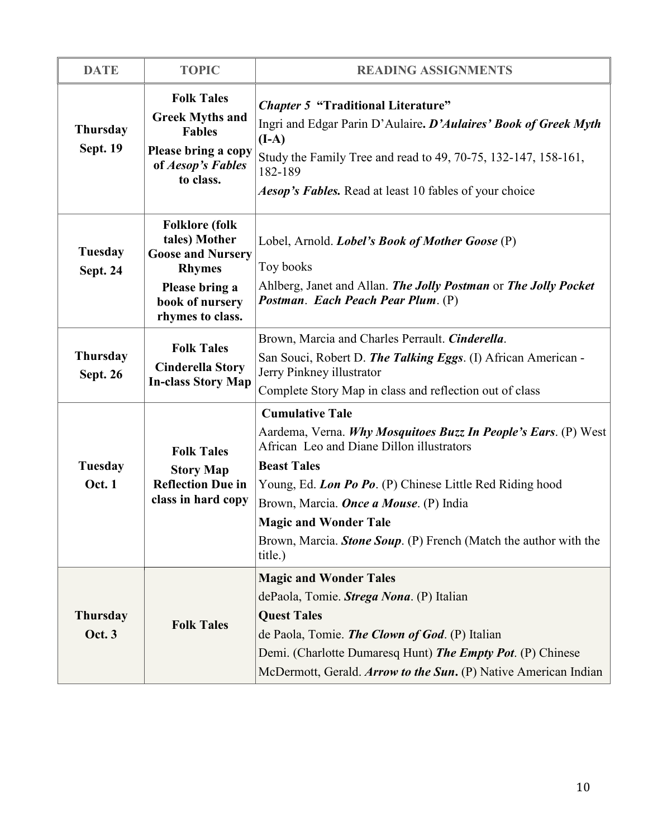| <b>DATE</b>                        | <b>TOPIC</b>                                                                                                                                 | <b>READING ASSIGNMENTS</b>                                                                                                                                                                                                                                                                                                                                                               |  |
|------------------------------------|----------------------------------------------------------------------------------------------------------------------------------------------|------------------------------------------------------------------------------------------------------------------------------------------------------------------------------------------------------------------------------------------------------------------------------------------------------------------------------------------------------------------------------------------|--|
| <b>Thursday</b><br><b>Sept. 19</b> | <b>Folk Tales</b><br><b>Greek Myths and</b><br><b>Fables</b><br>Please bring a copy<br>of Aesop's Fables<br>to class.                        | <b>Chapter 5 "Traditional Literature"</b><br>Ingri and Edgar Parin D'Aulaire. D'Aulaires' Book of Greek Myth<br>$(I-A)$<br>Study the Family Tree and read to 49, 70-75, 132-147, 158-161,<br>182-189<br><i>Aesop's Fables.</i> Read at least 10 fables of your choice                                                                                                                    |  |
| <b>Tuesday</b><br><b>Sept. 24</b>  | <b>Folklore</b> (folk<br>tales) Mother<br><b>Goose and Nursery</b><br><b>Rhymes</b><br>Please bring a<br>book of nursery<br>rhymes to class. | Lobel, Arnold. <i>Lobel's Book of Mother Goose</i> (P)<br>Toy books<br>Ahlberg, Janet and Allan. The Jolly Postman or The Jolly Pocket<br>Postman. Each Peach Pear Plum. (P)                                                                                                                                                                                                             |  |
| <b>Thursday</b><br><b>Sept. 26</b> | <b>Folk Tales</b><br><b>Cinderella Story</b><br><b>In-class Story Map</b>                                                                    | Brown, Marcia and Charles Perrault. Cinderella.<br>San Souci, Robert D. The Talking Eggs. (I) African American -<br>Jerry Pinkney illustrator<br>Complete Story Map in class and reflection out of class                                                                                                                                                                                 |  |
| <b>Tuesday</b><br><b>Oct. 1</b>    | <b>Folk Tales</b><br><b>Story Map</b><br><b>Reflection Due in</b><br>class in hard copy                                                      | <b>Cumulative Tale</b><br>Aardema, Verna. Why Mosquitoes Buzz In People's Ears. (P) West<br>African Leo and Diane Dillon illustrators<br><b>Beast Tales</b><br>Young, Ed. Lon Po Po. (P) Chinese Little Red Riding hood<br>Brown, Marcia. <i>Once a Mouse</i> . (P) India<br><b>Magic and Wonder Tale</b><br>Brown, Marcia. Stone Soup. (P) French (Match the author with the<br>title.) |  |
| <b>Thursday</b><br><b>Oct. 3</b>   | <b>Folk Tales</b>                                                                                                                            | <b>Magic and Wonder Tales</b><br>dePaola, Tomie. Strega Nona. (P) Italian<br><b>Quest Tales</b><br>de Paola, Tomie. The Clown of God. (P) Italian<br>Demi. (Charlotte Dumaresq Hunt) The Empty Pot. (P) Chinese<br>McDermott, Gerald. Arrow to the Sun. (P) Native American Indian                                                                                                       |  |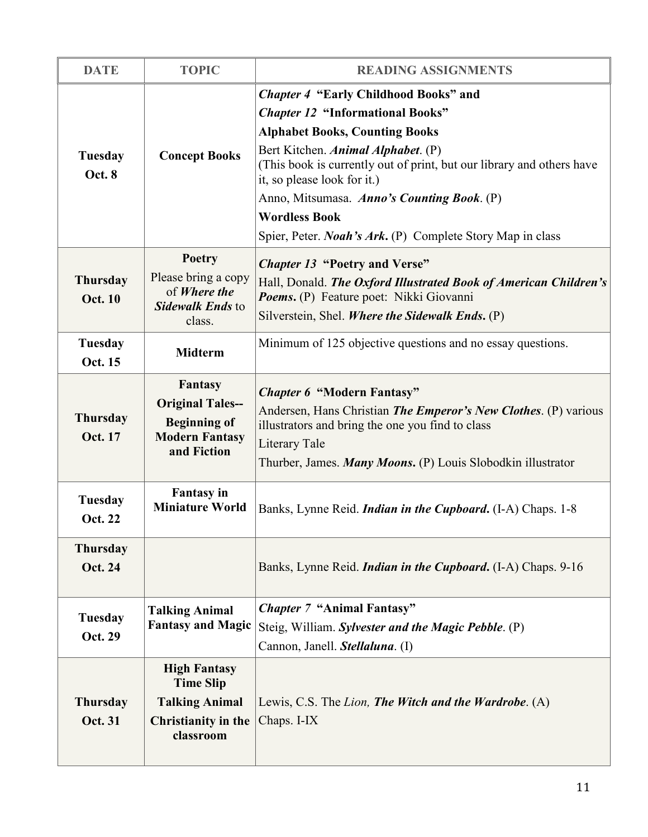| <b>DATE</b>                                      | <b>TOPIC</b>                                                                                             | <b>READING ASSIGNMENTS</b>                                                                                                                                                                                                                                                                                                                                                                                                |  |  |
|--------------------------------------------------|----------------------------------------------------------------------------------------------------------|---------------------------------------------------------------------------------------------------------------------------------------------------------------------------------------------------------------------------------------------------------------------------------------------------------------------------------------------------------------------------------------------------------------------------|--|--|
| Tuesday<br><b>Concept Books</b><br><b>Oct. 8</b> |                                                                                                          | <b>Chapter 4 "Early Childhood Books" and</b><br><b>Chapter 12 "Informational Books"</b><br><b>Alphabet Books, Counting Books</b><br>Bert Kitchen. Animal Alphabet. (P)<br>(This book is currently out of print, but our library and others have<br>it, so please look for it.)<br>Anno, Mitsumasa. Anno's Counting Book. (P)<br><b>Wordless Book</b><br>Spier, Peter. <i>Noah's Ark</i> . (P) Complete Story Map in class |  |  |
| <b>Thursday</b><br><b>Oct. 10</b>                | Poetry<br>Please bring a copy<br>of Where the<br>Sidewalk Ends to<br>class.                              | <b>Chapter 13 "Poetry and Verse"</b><br>Hall, Donald. The Oxford Illustrated Book of American Children's<br>Poems. (P) Feature poet: Nikki Giovanni<br>Silverstein, Shel. Where the Sidewalk Ends. (P)                                                                                                                                                                                                                    |  |  |
| Tuesday<br>Oct. 15                               | <b>Midterm</b>                                                                                           | Minimum of 125 objective questions and no essay questions.                                                                                                                                                                                                                                                                                                                                                                |  |  |
| <b>Thursday</b><br><b>Oct. 17</b>                | <b>Fantasy</b><br><b>Original Tales--</b><br><b>Beginning of</b><br><b>Modern Fantasy</b><br>and Fiction | <b>Chapter 6 "Modern Fantasy"</b><br>Andersen, Hans Christian <i>The Emperor's New Clothes</i> . (P) various<br>illustrators and bring the one you find to class<br>Literary Tale<br>Thurber, James. Many Moons. (P) Louis Slobodkin illustrator                                                                                                                                                                          |  |  |
| <b>Tuesday</b><br><b>Oct. 22</b>                 | <b>Fantasy</b> in<br><b>Miniature World</b>                                                              | Banks, Lynne Reid. <i>Indian in the Cupboard</i> . (I-A) Chaps. 1-8                                                                                                                                                                                                                                                                                                                                                       |  |  |
| <b>Thursday</b><br>Oct. 24                       |                                                                                                          | Banks, Lynne Reid. <i>Indian in the Cupboard</i> . (I-A) Chaps. 9-16                                                                                                                                                                                                                                                                                                                                                      |  |  |
| Tuesday<br>Oct. 29                               | <b>Talking Animal</b><br><b>Fantasy and Magic</b>                                                        | <b>Chapter 7 "Animal Fantasy"</b><br>Steig, William. Sylvester and the Magic Pebble. (P)<br>Cannon, Janell. Stellaluna. (I)                                                                                                                                                                                                                                                                                               |  |  |
| <b>Thursday</b><br>Oct. 31                       | <b>High Fantasy</b><br><b>Time Slip</b><br><b>Talking Animal</b><br>Christianity in the<br>classroom     | Lewis, C.S. The Lion, The Witch and the Wardrobe. (A)<br>Chaps. I-IX                                                                                                                                                                                                                                                                                                                                                      |  |  |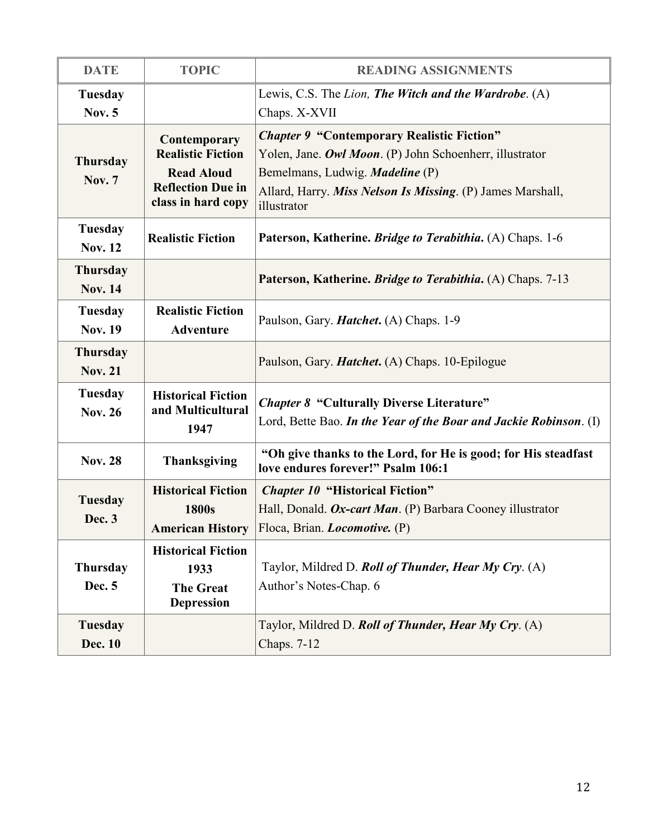| <b>DATE</b>                       | <b>TOPIC</b>                                                                                                    | <b>READING ASSIGNMENTS</b>                                                                                                                                                                                                          |  |  |
|-----------------------------------|-----------------------------------------------------------------------------------------------------------------|-------------------------------------------------------------------------------------------------------------------------------------------------------------------------------------------------------------------------------------|--|--|
| Tuesday<br><b>Nov. 5</b>          |                                                                                                                 | Lewis, C.S. The Lion, The Witch and the Wardrobe. (A)<br>Chaps. X-XVII                                                                                                                                                              |  |  |
| <b>Thursday</b><br><b>Nov. 7</b>  | Contemporary<br><b>Realistic Fiction</b><br><b>Read Aloud</b><br><b>Reflection Due in</b><br>class in hard copy | <b>Chapter 9 "Contemporary Realistic Fiction"</b><br>Yolen, Jane. Owl Moon. (P) John Schoenherr, illustrator<br>Bemelmans, Ludwig. <i>Madeline</i> (P)<br>Allard, Harry. Miss Nelson Is Missing. (P) James Marshall,<br>illustrator |  |  |
| Tuesday<br><b>Nov. 12</b>         | <b>Realistic Fiction</b>                                                                                        | Paterson, Katherine. Bridge to Terabithia. (A) Chaps. 1-6                                                                                                                                                                           |  |  |
| <b>Thursday</b><br><b>Nov. 14</b> |                                                                                                                 | Paterson, Katherine. <i>Bridge to Terabithia</i> . (A) Chaps. 7-13                                                                                                                                                                  |  |  |
| <b>Tuesday</b><br><b>Nov. 19</b>  | <b>Realistic Fiction</b><br><b>Adventure</b>                                                                    | Paulson, Gary. <i>Hatchet</i> . (A) Chaps. 1-9                                                                                                                                                                                      |  |  |
| <b>Thursday</b><br><b>Nov. 21</b> |                                                                                                                 | Paulson, Gary. <i>Hatchet.</i> (A) Chaps. 10-Epilogue                                                                                                                                                                               |  |  |
| <b>Tuesday</b><br><b>Nov. 26</b>  | <b>Historical Fiction</b><br>and Multicultural<br>1947                                                          | <b>Chapter 8 "Culturally Diverse Literature"</b><br>Lord, Bette Bao. In the Year of the Boar and Jackie Robinson. (I)                                                                                                               |  |  |
| <b>Nov. 28</b>                    | <b>Thanksgiving</b>                                                                                             | "Oh give thanks to the Lord, for He is good; for His steadfast<br>love endures forever!" Psalm 106:1                                                                                                                                |  |  |
| Tuesday<br>Dec. 3                 | <b>Historical Fiction</b><br>1800s                                                                              | <b>Chapter 10 "Historical Fiction"</b><br>Hall, Donald. Ox-cart Man. (P) Barbara Cooney illustrator<br>American History   Floca, Brian. <i>Locomotive</i> . (P)                                                                     |  |  |
| <b>Thursday</b><br>Dec. 5         | <b>Historical Fiction</b><br>1933<br><b>The Great</b><br><b>Depression</b>                                      | Taylor, Mildred D. Roll of Thunder, Hear My Cry. (A)<br>Author's Notes-Chap. 6                                                                                                                                                      |  |  |
| Tuesday<br>Dec. 10                |                                                                                                                 | Taylor, Mildred D. Roll of Thunder, Hear My Cry. (A)<br>Chaps. 7-12                                                                                                                                                                 |  |  |